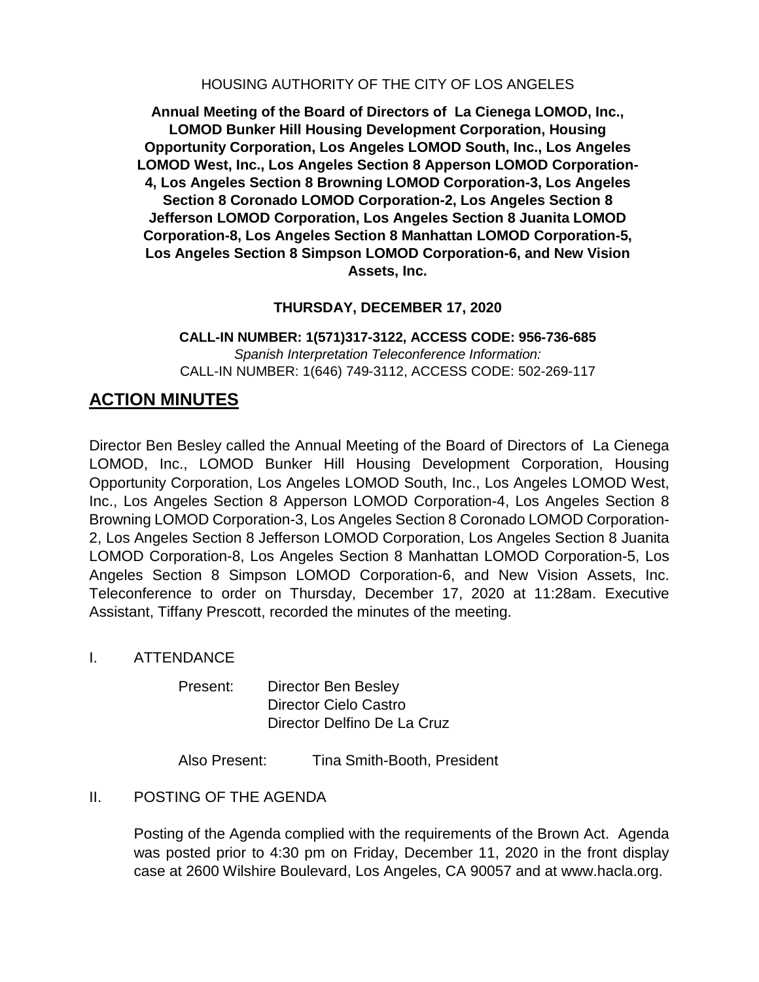HOUSING AUTHORITY OF THE CITY OF LOS ANGELES

**Annual Meeting of the Board of Directors of La Cienega LOMOD, Inc., LOMOD Bunker Hill Housing Development Corporation, Housing Opportunity Corporation, Los Angeles LOMOD South, Inc., Los Angeles LOMOD West, Inc., Los Angeles Section 8 Apperson LOMOD Corporation-4, Los Angeles Section 8 Browning LOMOD Corporation-3, Los Angeles Section 8 Coronado LOMOD Corporation-2, Los Angeles Section 8 Jefferson LOMOD Corporation, Los Angeles Section 8 Juanita LOMOD Corporation-8, Los Angeles Section 8 Manhattan LOMOD Corporation-5, Los Angeles Section 8 Simpson LOMOD Corporation-6, and New Vision Assets, Inc.**

# **THURSDAY, DECEMBER 17, 2020**

**CALL-IN NUMBER: 1(571)317-3122, ACCESS CODE: 956-736-685** *Spanish Interpretation Teleconference Information:* CALL-IN NUMBER: 1(646) 749-3112, ACCESS CODE: 502-269-117

# **ACTION MINUTES**

Director Ben Besley called the Annual Meeting of the Board of Directors of La Cienega LOMOD, Inc., LOMOD Bunker Hill Housing Development Corporation, Housing Opportunity Corporation, Los Angeles LOMOD South, Inc., Los Angeles LOMOD West, Inc., Los Angeles Section 8 Apperson LOMOD Corporation-4, Los Angeles Section 8 Browning LOMOD Corporation-3, Los Angeles Section 8 Coronado LOMOD Corporation-2, Los Angeles Section 8 Jefferson LOMOD Corporation, Los Angeles Section 8 Juanita LOMOD Corporation-8, Los Angeles Section 8 Manhattan LOMOD Corporation-5, Los Angeles Section 8 Simpson LOMOD Corporation-6, and New Vision Assets, Inc. Teleconference to order on Thursday, December 17, 2020 at 11:28am. Executive Assistant, Tiffany Prescott, recorded the minutes of the meeting.

I. ATTENDANCE

Present: Director Ben Besley Director Cielo Castro Director Delfino De La Cruz

Also Present: Tina Smith-Booth, President

II. POSTING OF THE AGENDA

Posting of the Agenda complied with the requirements of the Brown Act. Agenda was posted prior to 4:30 pm on Friday, December 11, 2020 in the front display case at 2600 Wilshire Boulevard, Los Angeles, CA 90057 and at www.hacla.org.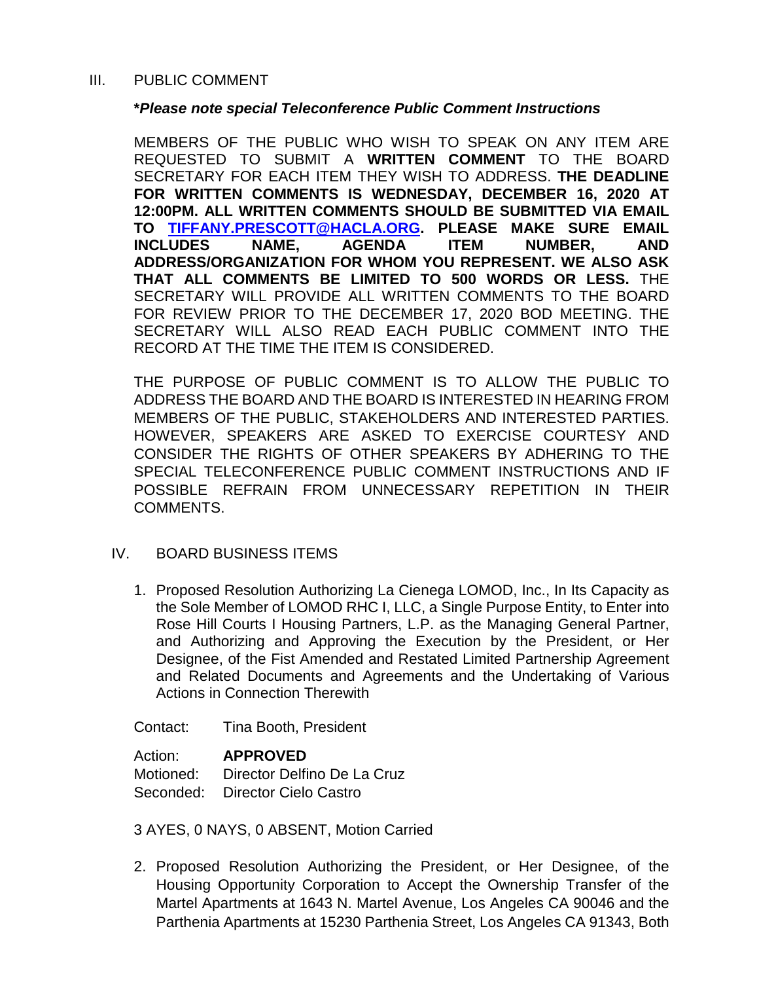#### III. PUBLIC COMMENT

#### **\****Please note special Teleconference Public Comment Instructions*

MEMBERS OF THE PUBLIC WHO WISH TO SPEAK ON ANY ITEM ARE REQUESTED TO SUBMIT A **WRITTEN COMMENT** TO THE BOARD SECRETARY FOR EACH ITEM THEY WISH TO ADDRESS. **THE DEADLINE FOR WRITTEN COMMENTS IS WEDNESDAY, DECEMBER 16, 2020 AT 12:00PM. ALL WRITTEN COMMENTS SHOULD BE SUBMITTED VIA EMAIL TO [TIFFANY.PRESCOTT@HACLA.ORG.](about:blank) PLEASE MAKE SURE EMAIL INCLUDES NAME, AGENDA ITEM NUMBER, AND ADDRESS/ORGANIZATION FOR WHOM YOU REPRESENT. WE ALSO ASK THAT ALL COMMENTS BE LIMITED TO 500 WORDS OR LESS.** THE SECRETARY WILL PROVIDE ALL WRITTEN COMMENTS TO THE BOARD FOR REVIEW PRIOR TO THE DECEMBER 17, 2020 BOD MEETING. THE SECRETARY WILL ALSO READ EACH PUBLIC COMMENT INTO THE RECORD AT THE TIME THE ITEM IS CONSIDERED.

THE PURPOSE OF PUBLIC COMMENT IS TO ALLOW THE PUBLIC TO ADDRESS THE BOARD AND THE BOARD IS INTERESTED IN HEARING FROM MEMBERS OF THE PUBLIC, STAKEHOLDERS AND INTERESTED PARTIES. HOWEVER, SPEAKERS ARE ASKED TO EXERCISE COURTESY AND CONSIDER THE RIGHTS OF OTHER SPEAKERS BY ADHERING TO THE SPECIAL TELECONFERENCE PUBLIC COMMENT INSTRUCTIONS AND IF POSSIBLE REFRAIN FROM UNNECESSARY REPETITION IN THEIR COMMENTS.

## IV. BOARD BUSINESS ITEMS

1. Proposed Resolution Authorizing La Cienega LOMOD, Inc., In Its Capacity as the Sole Member of LOMOD RHC I, LLC, a Single Purpose Entity, to Enter into Rose Hill Courts I Housing Partners, L.P. as the Managing General Partner, and Authorizing and Approving the Execution by the President, or Her Designee, of the Fist Amended and Restated Limited Partnership Agreement and Related Documents and Agreements and the Undertaking of Various Actions in Connection Therewith

Contact: Tina Booth, President

Action: **APPROVED** Motioned: Director Delfino De La Cruz Seconded: Director Cielo Castro

3 AYES, 0 NAYS, 0 ABSENT, Motion Carried

2. Proposed Resolution Authorizing the President, or Her Designee, of the Housing Opportunity Corporation to Accept the Ownership Transfer of the Martel Apartments at 1643 N. Martel Avenue, Los Angeles CA 90046 and the Parthenia Apartments at 15230 Parthenia Street, Los Angeles CA 91343, Both